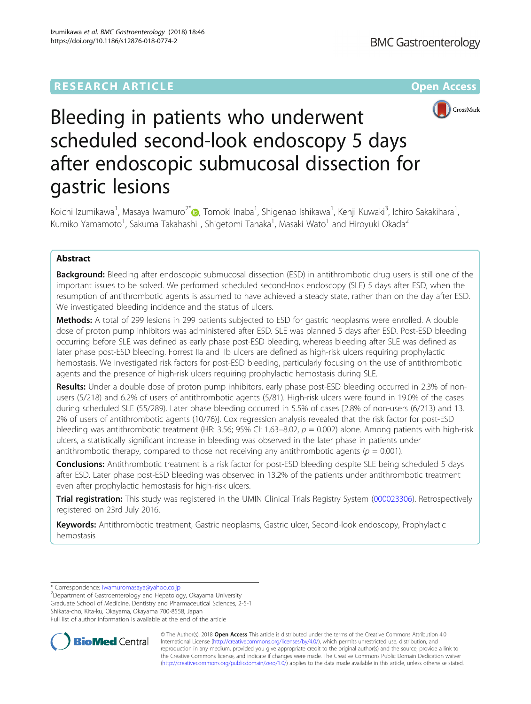## **RESEARCH ARTICLE Example 2018 12:00 Department of the CONNECTION CONNECTION CONNECTION CONNECTION CONNECTION**



# Bleeding in patients who underwent scheduled second-look endoscopy 5 days after endoscopic submucosal dissection for gastric lesions

Koichi Izumikawa<sup>1</sup>, Masaya Iwamuro<sup>2\*</sup>in, Tomoki Inaba<sup>1</sup>, Shigenao Ishikawa<sup>1</sup>, Kenji Kuwaki<sup>3</sup>, Ichiro Sakakihara<sup>1</sup> , Kumiko Yamamoto<sup>1</sup>, Sakuma Takahashi<sup>1</sup>, Shigetomi Tanaka<sup>1</sup>, Masaki Wato<sup>1</sup> and Hiroyuki Okada<sup>2</sup>

## Abstract

**Background:** Bleeding after endoscopic submucosal dissection (ESD) in antithrombotic drug users is still one of the important issues to be solved. We performed scheduled second-look endoscopy (SLE) 5 days after ESD, when the resumption of antithrombotic agents is assumed to have achieved a steady state, rather than on the day after ESD. We investigated bleeding incidence and the status of ulcers.

Methods: A total of 299 lesions in 299 patients subjected to ESD for gastric neoplasms were enrolled. A double dose of proton pump inhibitors was administered after ESD. SLE was planned 5 days after ESD. Post-ESD bleeding occurring before SLE was defined as early phase post-ESD bleeding, whereas bleeding after SLE was defined as later phase post-ESD bleeding. Forrest IIa and IIb ulcers are defined as high-risk ulcers requiring prophylactic hemostasis. We investigated risk factors for post-ESD bleeding, particularly focusing on the use of antithrombotic agents and the presence of high-risk ulcers requiring prophylactic hemostasis during SLE.

Results: Under a double dose of proton pump inhibitors, early phase post-ESD bleeding occurred in 2.3% of nonusers (5/218) and 6.2% of users of antithrombotic agents (5/81). High-risk ulcers were found in 19.0% of the cases during scheduled SLE (55/289). Later phase bleeding occurred in 5.5% of cases [2.8% of non-users (6/213) and 13. 2% of users of antithrombotic agents (10/76)]. Cox regression analysis revealed that the risk factor for post-ESD bleeding was antithrombotic treatment (HR: 3.56; 95% CI: 1.63–8.02,  $p = 0.002$ ) alone. Among patients with high-risk ulcers, a statistically significant increase in bleeding was observed in the later phase in patients under antithrombotic therapy, compared to those not receiving any antithrombotic agents ( $p = 0.001$ ).

**Conclusions:** Antithrombotic treatment is a risk factor for post-ESD bleeding despite SLE being scheduled 5 days after ESD. Later phase post-ESD bleeding was observed in 13.2% of the patients under antithrombotic treatment even after prophylactic hemostasis for high-risk ulcers.

Trial registration: This study was registered in the UMIN Clinical Trials Registry System [\(000023306\)](https://upload.umin.ac.jp/cgi-open-bin/ctr/ctr_view.cgi?recptno=R000026833). Retrospectively registered on 23rd July 2016.

Keywords: Antithrombotic treatment, Gastric neoplasms, Gastric ulcer, Second-look endoscopy, Prophylactic hemostasis

\* Correspondence: [iwamuromasaya@yahoo.co.jp](mailto:iwamuromasaya@yahoo.co.jp) <sup>2</sup>

<sup>2</sup>Department of Gastroenterology and Hepatology, Okayama University Graduate School of Medicine, Dentistry and Pharmaceutical Sciences, 2-5-1 Shikata-cho, Kita-ku, Okayama, Okayama 700-8558, Japan Full list of author information is available at the end of the article



© The Author(s). 2018 Open Access This article is distributed under the terms of the Creative Commons Attribution 4.0 International License [\(http://creativecommons.org/licenses/by/4.0/](http://creativecommons.org/licenses/by/4.0/)), which permits unrestricted use, distribution, and reproduction in any medium, provided you give appropriate credit to the original author(s) and the source, provide a link to the Creative Commons license, and indicate if changes were made. The Creative Commons Public Domain Dedication waiver [\(http://creativecommons.org/publicdomain/zero/1.0/](http://creativecommons.org/publicdomain/zero/1.0/)) applies to the data made available in this article, unless otherwise stated.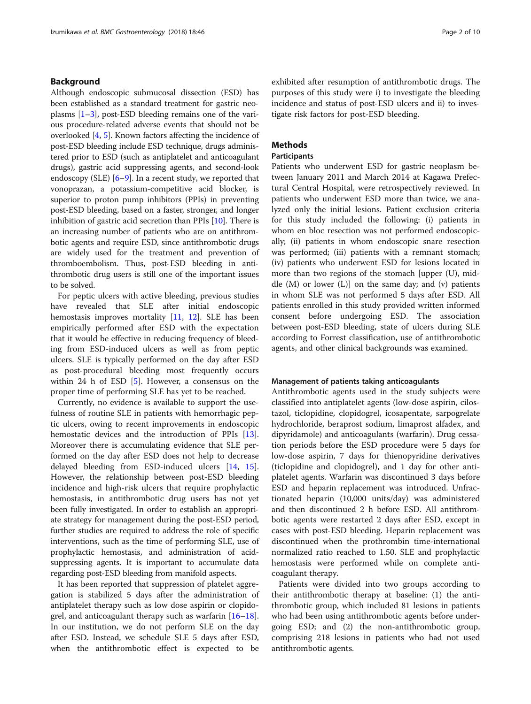## Background

Although endoscopic submucosal dissection (ESD) has been established as a standard treatment for gastric neoplasms [\[1](#page-8-0)–[3\]](#page-8-0), post-ESD bleeding remains one of the various procedure-related adverse events that should not be overlooked [[4](#page-8-0), [5\]](#page-8-0). Known factors affecting the incidence of post-ESD bleeding include ESD technique, drugs administered prior to ESD (such as antiplatelet and anticoagulant drugs), gastric acid suppressing agents, and second-look endoscopy (SLE) [\[6](#page-8-0)–[9\]](#page-8-0). In a recent study, we reported that vonoprazan, a potassium-competitive acid blocker, is superior to proton pump inhibitors (PPIs) in preventing post-ESD bleeding, based on a faster, stronger, and longer inhibition of gastric acid secretion than PPIs [\[10\]](#page-8-0). There is an increasing number of patients who are on antithrombotic agents and require ESD, since antithrombotic drugs are widely used for the treatment and prevention of thromboembolism. Thus, post-ESD bleeding in antithrombotic drug users is still one of the important issues to be solved.

For peptic ulcers with active bleeding, previous studies have revealed that SLE after initial endoscopic hemostasis improves mortality [\[11](#page-8-0), [12](#page-9-0)]. SLE has been empirically performed after ESD with the expectation that it would be effective in reducing frequency of bleeding from ESD-induced ulcers as well as from peptic ulcers. SLE is typically performed on the day after ESD as post-procedural bleeding most frequently occurs within 24 h of ESD  $[5]$  $[5]$ . However, a consensus on the proper time of performing SLE has yet to be reached.

Currently, no evidence is available to support the usefulness of routine SLE in patients with hemorrhagic peptic ulcers, owing to recent improvements in endoscopic hemostatic devices and the introduction of PPIs [\[13](#page-9-0)]. Moreover there is accumulating evidence that SLE performed on the day after ESD does not help to decrease delayed bleeding from ESD-induced ulcers [[14](#page-9-0), [15](#page-9-0)]. However, the relationship between post-ESD bleeding incidence and high-risk ulcers that require prophylactic hemostasis, in antithrombotic drug users has not yet been fully investigated. In order to establish an appropriate strategy for management during the post-ESD period, further studies are required to address the role of specific interventions, such as the time of performing SLE, use of prophylactic hemostasis, and administration of acidsuppressing agents. It is important to accumulate data regarding post-ESD bleeding from manifold aspects.

It has been reported that suppression of platelet aggregation is stabilized 5 days after the administration of antiplatelet therapy such as low dose aspirin or clopidogrel, and anticoagulant therapy such as warfarin  $[16–18]$  $[16–18]$  $[16–18]$  $[16–18]$  $[16–18]$ . In our institution, we do not perform SLE on the day after ESD. Instead, we schedule SLE 5 days after ESD, when the antithrombotic effect is expected to be exhibited after resumption of antithrombotic drugs. The purposes of this study were i) to investigate the bleeding incidence and status of post-ESD ulcers and ii) to investigate risk factors for post-ESD bleeding.

## Methods

## Participants

Patients who underwent ESD for gastric neoplasm between January 2011 and March 2014 at Kagawa Prefectural Central Hospital, were retrospectively reviewed. In patients who underwent ESD more than twice, we analyzed only the initial lesions. Patient exclusion criteria for this study included the following: (i) patients in whom en bloc resection was not performed endoscopically; (ii) patients in whom endoscopic snare resection was performed; (iii) patients with a remnant stomach; (iv) patients who underwent ESD for lesions located in more than two regions of the stomach [upper (U), middle  $(M)$  or lower  $(L)$ ] on the same day; and  $(v)$  patients in whom SLE was not performed 5 days after ESD. All patients enrolled in this study provided written informed consent before undergoing ESD. The association between post-ESD bleeding, state of ulcers during SLE according to Forrest classification, use of antithrombotic agents, and other clinical backgrounds was examined.

## Management of patients taking anticoagulants

Antithrombotic agents used in the study subjects were classified into antiplatelet agents (low-dose aspirin, cilostazol, ticlopidine, clopidogrel, icosapentate, sarpogrelate hydrochloride, beraprost sodium, limaprost alfadex, and dipyridamole) and anticoagulants (warfarin). Drug cessation periods before the ESD procedure were 5 days for low-dose aspirin, 7 days for thienopyridine derivatives (ticlopidine and clopidogrel), and 1 day for other antiplatelet agents. Warfarin was discontinued 3 days before ESD and heparin replacement was introduced. Unfractionated heparin (10,000 units/day) was administered and then discontinued 2 h before ESD. All antithrombotic agents were restarted 2 days after ESD, except in cases with post-ESD bleeding. Heparin replacement was discontinued when the prothrombin time-international normalized ratio reached to 1.50. SLE and prophylactic hemostasis were performed while on complete anticoagulant therapy.

Patients were divided into two groups according to their antithrombotic therapy at baseline: (1) the antithrombotic group, which included 81 lesions in patients who had been using antithrombotic agents before undergoing ESD; and (2) the non-antithrombotic group, comprising 218 lesions in patients who had not used antithrombotic agents.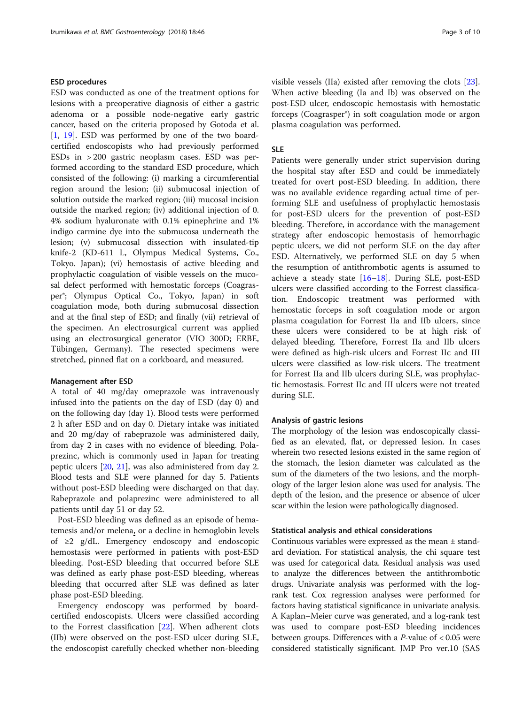## ESD procedures

ESD was conducted as one of the treatment options for lesions with a preoperative diagnosis of either a gastric adenoma or a possible node-negative early gastric cancer, based on the criteria proposed by Gotoda et al. [[1,](#page-8-0) [19](#page-9-0)]. ESD was performed by one of the two boardcertified endoscopists who had previously performed ESDs in > 200 gastric neoplasm cases. ESD was performed according to the standard ESD procedure, which consisted of the following: (i) marking a circumferential region around the lesion; (ii) submucosal injection of solution outside the marked region; (iii) mucosal incision outside the marked region; (iv) additional injection of 0. 4% sodium hyaluronate with 0.1% epinephrine and 1% indigo carmine dye into the submucosa underneath the lesion; (v) submucosal dissection with insulated-tip knife-2 (KD-611 L, Olympus Medical Systems, Co., Tokyo. Japan); (vi) hemostasis of active bleeding and prophylactic coagulation of visible vessels on the mucosal defect performed with hemostatic forceps (Coagrasper®; Olympus Optical Co., Tokyo, Japan) in soft coagulation mode, both during submucosal dissection and at the final step of ESD; and finally (vii) retrieval of the specimen. An electrosurgical current was applied using an electrosurgical generator (VIO 300D; ERBE, Tübingen, Germany). The resected specimens were stretched, pinned flat on a corkboard, and measured.

## Management after ESD

A total of 40 mg/day omeprazole was intravenously infused into the patients on the day of ESD (day 0) and on the following day (day 1). Blood tests were performed 2 h after ESD and on day 0. Dietary intake was initiated and 20 mg/day of rabeprazole was administered daily, from day 2 in cases with no evidence of bleeding. Polaprezinc, which is commonly used in Japan for treating peptic ulcers [[20](#page-9-0), [21\]](#page-9-0), was also administered from day 2. Blood tests and SLE were planned for day 5. Patients without post-ESD bleeding were discharged on that day. Rabeprazole and polaprezinc were administered to all patients until day 51 or day 52.

Post-ESD bleeding was defined as an episode of hematemesis and/or melena, or a decline in hemoglobin levels of ≥2 g/dL. Emergency endoscopy and endoscopic hemostasis were performed in patients with post-ESD bleeding. Post-ESD bleeding that occurred before SLE was defined as early phase post-ESD bleeding, whereas bleeding that occurred after SLE was defined as later phase post-ESD bleeding.

Emergency endoscopy was performed by boardcertified endoscopists. Ulcers were classified according to the Forrest classification [\[22\]](#page-9-0). When adherent clots (IIb) were observed on the post-ESD ulcer during SLE, the endoscopist carefully checked whether non-bleeding visible vessels (IIa) existed after removing the clots [\[23](#page-9-0)]. When active bleeding (Ia and Ib) was observed on the post-ESD ulcer, endoscopic hemostasis with hemostatic forceps (Coagrasper®) in soft coagulation mode or argon plasma coagulation was performed.

## SLE

Patients were generally under strict supervision during the hospital stay after ESD and could be immediately treated for overt post-ESD bleeding. In addition, there was no available evidence regarding actual time of performing SLE and usefulness of prophylactic hemostasis for post-ESD ulcers for the prevention of post-ESD bleeding. Therefore, in accordance with the management strategy after endoscopic hemostasis of hemorrhagic peptic ulcers, we did not perform SLE on the day after ESD. Alternatively, we performed SLE on day 5 when the resumption of antithrombotic agents is assumed to achieve a steady state  $[16–18]$  $[16–18]$  $[16–18]$  $[16–18]$  $[16–18]$ . During SLE, post-ESD ulcers were classified according to the Forrest classification. Endoscopic treatment was performed with hemostatic forceps in soft coagulation mode or argon plasma coagulation for Forrest IIa and IIb ulcers, since these ulcers were considered to be at high risk of delayed bleeding. Therefore, Forrest IIa and IIb ulcers were defined as high-risk ulcers and Forrest IIc and III ulcers were classified as low-risk ulcers. The treatment for Forrest IIa and IIb ulcers during SLE, was prophylactic hemostasis. Forrest IIc and III ulcers were not treated during SLE.

## Analysis of gastric lesions

The morphology of the lesion was endoscopically classified as an elevated, flat, or depressed lesion. In cases wherein two resected lesions existed in the same region of the stomach, the lesion diameter was calculated as the sum of the diameters of the two lesions, and the morphology of the larger lesion alone was used for analysis. The depth of the lesion, and the presence or absence of ulcer scar within the lesion were pathologically diagnosed.

## Statistical analysis and ethical considerations

Continuous variables were expressed as the mean  $\pm$  standard deviation. For statistical analysis, the chi square test was used for categorical data. Residual analysis was used to analyze the differences between the antithrombotic drugs. Univariate analysis was performed with the logrank test. Cox regression analyses were performed for factors having statistical significance in univariate analysis. A Kaplan–Meier curve was generated, and a log-rank test was used to compare post-ESD bleeding incidences between groups. Differences with a *P*-value of  $< 0.05$  were considered statistically significant. JMP Pro ver.10 (SAS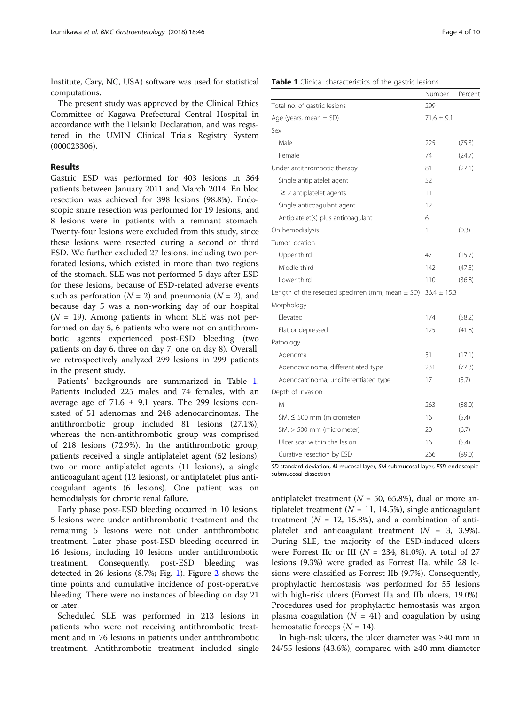Institute, Cary, NC, USA) software was used for statistical computations.

The present study was approved by the Clinical Ethics Committee of Kagawa Prefectural Central Hospital in accordance with the Helsinki Declaration, and was registered in the UMIN Clinical Trials Registry System (000023306).

## Results

Gastric ESD was performed for 403 lesions in 364 patients between January 2011 and March 2014. En bloc resection was achieved for 398 lesions (98.8%). Endoscopic snare resection was performed for 19 lesions, and 8 lesions were in patients with a remnant stomach. Twenty-four lesions were excluded from this study, since these lesions were resected during a second or third ESD. We further excluded 27 lesions, including two perforated lesions, which existed in more than two regions of the stomach. SLE was not performed 5 days after ESD for these lesions, because of ESD-related adverse events such as perforation ( $N = 2$ ) and pneumonia ( $N = 2$ ), and because day 5 was a non-working day of our hospital  $(N = 19)$ . Among patients in whom SLE was not performed on day 5, 6 patients who were not on antithrombotic agents experienced post-ESD bleeding (two patients on day 6, three on day 7, one on day 8). Overall, we retrospectively analyzed 299 lesions in 299 patients in the present study.

Patients' backgrounds are summarized in Table 1. Patients included 225 males and 74 females, with an average age of 71.6  $\pm$  9.1 years. The 299 lesions consisted of 51 adenomas and 248 adenocarcinomas. The antithrombotic group included 81 lesions (27.1%), whereas the non-antithrombotic group was comprised of 218 lesions (72.9%). In the antithrombotic group, patients received a single antiplatelet agent (52 lesions), two or more antiplatelet agents (11 lesions), a single anticoagulant agent (12 lesions), or antiplatelet plus anticoagulant agents (6 lesions). One patient was on hemodialysis for chronic renal failure.

Early phase post-ESD bleeding occurred in 10 lesions, 5 lesions were under antithrombotic treatment and the remaining 5 lesions were not under antithrombotic treatment. Later phase post-ESD bleeding occurred in 16 lesions, including 10 lesions under antithrombotic treatment. Consequently, post-ESD bleeding was detected in 26 lesions (8.7%; Fig. [1](#page-4-0)). Figure [2](#page-4-0) shows the time points and cumulative incidence of post-operative bleeding. There were no instances of bleeding on day 21 or later.

Scheduled SLE was performed in 213 lesions in patients who were not receiving antithrombotic treatment and in 76 lesions in patients under antithrombotic treatment. Antithrombotic treatment included single

| Total no. of gastric lesions                        | 299             |        |
|-----------------------------------------------------|-----------------|--------|
| Age (years, mean $\pm$ SD)                          | $71.6 \pm 9.1$  |        |
| Sex                                                 |                 |        |
| Male                                                | 225             | (75.3) |
| Female                                              | 74              | (24.7) |
| Under antithrombotic therapy                        | 81              | (27.1) |
| Single antiplatelet agent                           | 52              |        |
| $\geq$ 2 antiplatelet agents                        | 11              |        |
| Single anticoagulant agent                          | 12              |        |
| Antiplatelet(s) plus anticoagulant                  | 6               |        |
| On hemodialysis                                     | 1               | (0.3)  |
| Tumor location                                      |                 |        |
| Upper third                                         | 47              | (15.7) |
| Middle third                                        | 142             | (47.5) |
| Lower third                                         | 110             | (36.8) |
| Length of the resected specimen (mm, mean $\pm$ SD) | $36.4 \pm 15.3$ |        |
| Morphology                                          |                 |        |
| Elevated                                            | 174             | (58.2) |
| Flat or depressed                                   | 125             | (41.8) |
| Pathology                                           |                 |        |
| Adenoma                                             | 51              | (17.1) |
| Adenocarcinoma, differentiated type                 | 231             | (77.3) |
| Adenocarcinoma, undifferentiated type               | 17              | (5.7)  |
| Depth of invasion                                   |                 |        |
| M                                                   | 263             | (88.0) |
| SM, $\leq$ 500 mm (micrometer)                      | 16              | (5.4)  |
| SM, > 500 mm (micrometer)                           | 20              | (6.7)  |
| Ulcer scar within the lesion                        | 16              | (5.4)  |
|                                                     |                 |        |

Curative resection by ESD 266 (89.0) SD standard deviation, M mucosal layer, SM submucosal layer, ESD endoscopic submucosal dissection

antiplatelet treatment ( $N = 50, 65.8\%$ ), dual or more antiplatelet treatment ( $N = 11, 14.5\%$ ), single anticoagulant treatment ( $N = 12, 15.8\%$ ), and a combination of antiplatelet and anticoagulant treatment  $(N = 3, 3.9\%).$ During SLE, the majority of the ESD-induced ulcers were Forrest IIc or III ( $N = 234$ , 81.0%). A total of 27 lesions (9.3%) were graded as Forrest IIa, while 28 lesions were classified as Forrest IIb (9.7%). Consequently, prophylactic hemostasis was performed for 55 lesions with high-risk ulcers (Forrest IIa and IIb ulcers, 19.0%). Procedures used for prophylactic hemostasis was argon plasma coagulation ( $N = 41$ ) and coagulation by using hemostatic forceps  $(N = 14)$ .

In high-risk ulcers, the ulcer diameter was ≥40 mm in 24/55 lesions (43.6%), compared with ≥40 mm diameter

Number Percent

## Table 1 Clinical characteristics of the gastric lesions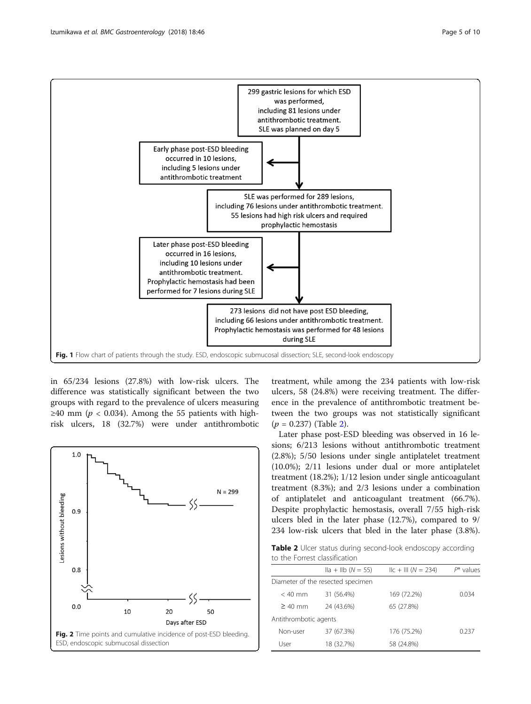<span id="page-4-0"></span>

in 65/234 lesions (27.8%) with low-risk ulcers. The difference was statistically significant between the two groups with regard to the prevalence of ulcers measuring ≥40 mm ( $p$  < 0.034). Among the 55 patients with highrisk ulcers, 18 (32.7%) were under antithrombotic



treatment, while among the 234 patients with low-risk ulcers, 58 (24.8%) were receiving treatment. The difference in the prevalence of antithrombotic treatment between the two groups was not statistically significant  $(p = 0.237)$  (Table 2).

Later phase post-ESD bleeding was observed in 16 lesions; 6/213 lesions without antithrombotic treatment (2.8%); 5/50 lesions under single antiplatelet treatment (10.0%); 2/11 lesions under dual or more antiplatelet treatment (18.2%); 1/12 lesion under single anticoagulant treatment (8.3%); and 2/3 lesions under a combination of antiplatelet and anticoagulant treatment (66.7%). Despite prophylactic hemostasis, overall 7/55 high-risk ulcers bled in the later phase (12.7%), compared to 9/ 234 low-risk ulcers that bled in the later phase (3.8%).

Table 2 Ulcer status during second-look endoscopy according to the Forrest classification

|                       | $\text{IIa} + \text{IIb}$ (N = 55) | $\text{IIc} + \text{III}$ (N = 234) | $P^*$ values |
|-----------------------|------------------------------------|-------------------------------------|--------------|
|                       | Diameter of the resected specimen  |                                     |              |
| $< 40$ mm             | 31 (56.4%)                         | 169 (72.2%)                         | 0.034        |
| $\geq 40$ mm          | 24 (43.6%)                         | 65 (27.8%)                          |              |
| Antithrombotic agents |                                    |                                     |              |
| Non-user              | 37 (67.3%)                         | 176 (75.2%)                         | 0.237        |
| User                  | 18 (32.7%)                         | 58 (24.8%)                          |              |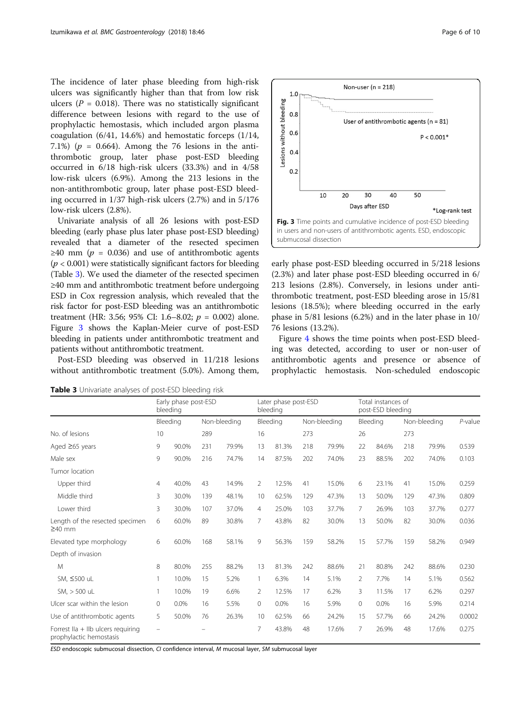The incidence of later phase bleeding from high-risk ulcers was significantly higher than that from low risk ulcers ( $P = 0.018$ ). There was no statistically significant difference between lesions with regard to the use of prophylactic hemostasis, which included argon plasma coagulation (6/41, 14.6%) and hemostatic forceps (1/14, 7.1%) ( $p = 0.664$ ). Among the 76 lesions in the antithrombotic group, later phase post-ESD bleeding occurred in 6/18 high-risk ulcers (33.3%) and in 4/58 low-risk ulcers (6.9%). Among the 213 lesions in the non-antithrombotic group, later phase post-ESD bleeding occurred in 1/37 high-risk ulcers (2.7%) and in 5/176 low-risk ulcers (2.8%).

Univariate analysis of all 26 lesions with post-ESD bleeding (early phase plus later phase post-ESD bleeding) revealed that a diameter of the resected specimen  $≥40$  mm (*p* = 0.036) and use of antithrombotic agents  $(p < 0.001)$  were statistically significant factors for bleeding (Table 3). We used the diameter of the resected specimen ≥40 mm and antithrombotic treatment before undergoing ESD in Cox regression analysis, which revealed that the risk factor for post-ESD bleeding was an antithrombotic treatment (HR: 3.56; 95% CI: 1.6–8.02;  $p = 0.002$ ) alone. Figure 3 shows the Kaplan-Meier curve of post-ESD bleeding in patients under antithrombotic treatment and patients without antithrombotic treatment.

Post-ESD bleeding was observed in 11/218 lesions without antithrombotic treatment (5.0%). Among them,



early phase post-ESD bleeding occurred in 5/218 lesions (2.3%) and later phase post-ESD bleeding occurred in 6/ 213 lesions (2.8%). Conversely, in lesions under antithrombotic treatment, post-ESD bleeding arose in 15/81 lesions (18.5%); where bleeding occurred in the early phase in 5/81 lesions (6.2%) and in the later phase in 10/ 76 lesions (13.2%).

Figure [4](#page-6-0) shows the time points when post-ESD bleeding was detected, according to user or non-user of antithrombotic agents and presence or absence of prophylactic hemostasis. Non-scheduled endoscopic

Early phase post-ESD bleeding Later phase post-ESD bleeding Total instances of post-ESD bleeding Bleeding Non-bleeding Bleeding Non-bleeding Bleeding Non-bleeding P-value No. of lesions 10 289 16 273 26 273 Aged ≥65 years 9 90.0% 231 79.9% 13 81.3% 218 79.9% 22 84.6% 218 79.9% 0.539 Male sex 9 90.0% 216 74.7% 14 87.5% 202 74.0% 23 88.5% 202 74.0% 0.103 Tumor location Upper third 4 40.0% 43 14.9% 2 12.5% 41 15.0% 6 23.1% 41 15.0% 0.259 Middle third 3 30.0% 139 48.1% 10 62.5% 129 47.3% 13 50.0% 129 47.3% 0.809 Lower third 3 30.0% 107 37.0% 4 25.0% 103 37.7% 7 26.9% 103 37.7% 0.277 Length of the resected specimen ≥40 mm 6 60.0% 89 30.8% 7 43.8% 82 30.0% 13 50.0% 82 30.0% 0.036 Elevated type morphology 6 60.0% 168 58.1% 9 56.3% 159 58.2% 15 57.7% 159 58.2% 0.949 Depth of invasion M 8 80.0% 255 88.2% 13 81.3% 242 88.6% 21 80.8% 242 88.6% 0.230 SM, ≤500 uL 1 10.0% 15 5.2% 1 6.3% 14 5.1% 2 7.7% 14 5.1% 0.562 SM, > 500 uL 1 10.0% 19 6.6% 2 12.5% 17 6.2% 3 11.5% 17 6.2% 0.297 Ulcer scar within the lesion 0 0.0% 16 5.5% 0 0.0% 16 5.9% 0 0.0% 16 5.9% 0.214 Use of antithrombotic agents 5 50.0% 76 26.3% 10 62.5% 66 24.2% 15 57.7% 66 24.2% 0.0002 Forrest IIa + IIb ulcers requiring – – 7 43.8% 48 17.6% 7 26.9% 48 17.6% 0.275

Table 3 Univariate analyses of post-ESD bleeding risk

prophylactic hemostasis

ESD endoscopic submucosal dissection, CI confidence interval, M mucosal layer, SM submucosal layer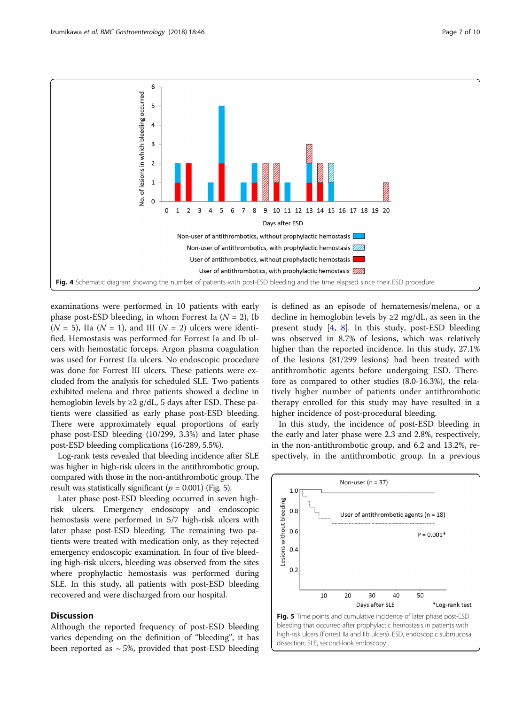<span id="page-6-0"></span>

examinations were performed in 10 patients with early phase post-ESD bleeding, in whom Forrest Ia  $(N = 2)$ , Ib  $(N = 5)$ , IIa  $(N = 1)$ , and III  $(N = 2)$  ulcers were identified. Hemostasis was performed for Forrest Ia and Ib ulcers with hemostatic forceps. Argon plasma coagulation was used for Forrest IIa ulcers. No endoscopic procedure was done for Forrest III ulcers. These patients were excluded from the analysis for scheduled SLE. Two patients exhibited melena and three patients showed a decline in hemoglobin levels by  $\geq$  2 g/dL, 5 days after ESD. These patients were classified as early phase post-ESD bleeding. There were approximately equal proportions of early phase post-ESD bleeding (10/299, 3.3%) and later phase post-ESD bleeding complications (16/289, 5.5%).

Log-rank tests revealed that bleeding incidence after SLE was higher in high-risk ulcers in the antithrombotic group, compared with those in the non-antithrombotic group. The result was statistically significant ( $p = 0.001$ ) (Fig. 5).

Later phase post-ESD bleeding occurred in seven highrisk ulcers. Emergency endoscopy and endoscopic hemostasis were performed in 5/7 high-risk ulcers with later phase post-ESD bleeding. The remaining two patients were treated with medication only, as they rejected emergency endoscopic examination. In four of five bleeding high-risk ulcers, bleeding was observed from the sites where prophylactic hemostasis was performed during SLE. In this study, all patients with post-ESD bleeding recovered and were discharged from our hospital.

## **Discussion**

Although the reported frequency of post-ESD bleeding varies depending on the definition of "bleeding", it has been reported as  $\sim$  5%, provided that post-ESD bleeding is defined as an episode of hematemesis/melena, or a decline in hemoglobin levels by  $\geq 2$  mg/dL, as seen in the present study  $[4, 8]$  $[4, 8]$  $[4, 8]$  $[4, 8]$ . In this study, post-ESD bleeding was observed in 8.7% of lesions, which was relatively higher than the reported incidence. In this study, 27.1% of the lesions (81/299 lesions) had been treated with antithrombotic agents before undergoing ESD. Therefore as compared to other studies (8.0-16.3%), the relatively higher number of patients under antithrombotic therapy enrolled for this study may have resulted in a higher incidence of post-procedural bleeding.

In this study, the incidence of post-ESD bleeding in the early and later phase were 2.3 and 2.8%, respectively, in the non-antithrombotic group, and 6.2 and 13.2%, respectively, in the antithrombotic group. In a previous

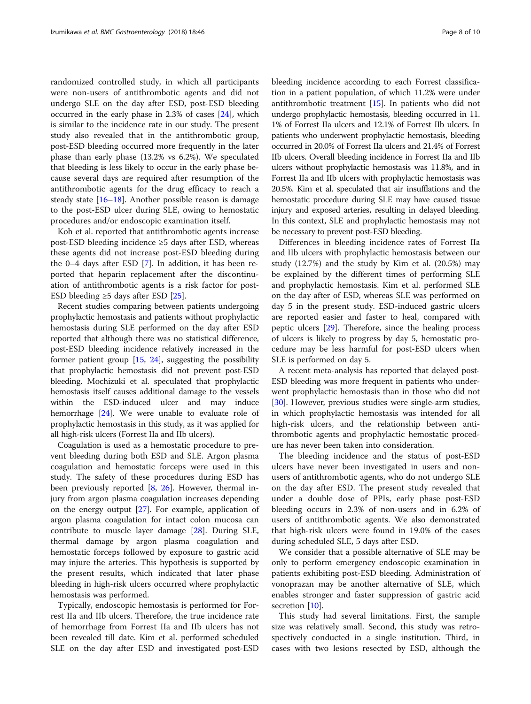randomized controlled study, in which all participants were non-users of antithrombotic agents and did not undergo SLE on the day after ESD, post-ESD bleeding occurred in the early phase in 2.3% of cases [\[24](#page-9-0)], which is similar to the incidence rate in our study. The present study also revealed that in the antithrombotic group, post-ESD bleeding occurred more frequently in the later phase than early phase (13.2% vs 6.2%). We speculated that bleeding is less likely to occur in the early phase because several days are required after resumption of the antithrombotic agents for the drug efficacy to reach a steady state  $[16–18]$  $[16–18]$  $[16–18]$ . Another possible reason is damage to the post-ESD ulcer during SLE, owing to hemostatic procedures and/or endoscopic examination itself.

Koh et al. reported that antithrombotic agents increase post-ESD bleeding incidence ≥5 days after ESD, whereas these agents did not increase post-ESD bleeding during the 0–4 days after ESD [\[7](#page-8-0)]. In addition, it has been reported that heparin replacement after the discontinuation of antithrombotic agents is a risk factor for post-ESD bleeding  $\geq 5$  days after ESD [\[25\]](#page-9-0).

Recent studies comparing between patients undergoing prophylactic hemostasis and patients without prophylactic hemostasis during SLE performed on the day after ESD reported that although there was no statistical difference, post-ESD bleeding incidence relatively increased in the former patient group [[15,](#page-9-0) [24\]](#page-9-0), suggesting the possibility that prophylactic hemostasis did not prevent post-ESD bleeding. Mochizuki et al. speculated that prophylactic hemostasis itself causes additional damage to the vessels within the ESD-induced ulcer and may induce hemorrhage [[24](#page-9-0)]. We were unable to evaluate role of prophylactic hemostasis in this study, as it was applied for all high-risk ulcers (Forrest IIa and IIb ulcers).

Coagulation is used as a hemostatic procedure to prevent bleeding during both ESD and SLE. Argon plasma coagulation and hemostatic forceps were used in this study. The safety of these procedures during ESD has been previously reported  $[8, 26]$  $[8, 26]$  $[8, 26]$  $[8, 26]$ . However, thermal injury from argon plasma coagulation increases depending on the energy output [[27\]](#page-9-0). For example, application of argon plasma coagulation for intact colon mucosa can contribute to muscle layer damage [\[28\]](#page-9-0). During SLE, thermal damage by argon plasma coagulation and hemostatic forceps followed by exposure to gastric acid may injure the arteries. This hypothesis is supported by the present results, which indicated that later phase bleeding in high-risk ulcers occurred where prophylactic hemostasis was performed.

Typically, endoscopic hemostasis is performed for Forrest IIa and IIb ulcers. Therefore, the true incidence rate of hemorrhage from Forrest IIa and IIb ulcers has not been revealed till date. Kim et al. performed scheduled SLE on the day after ESD and investigated post-ESD bleeding incidence according to each Forrest classification in a patient population, of which 11.2% were under antithrombotic treatment [[15](#page-9-0)]. In patients who did not undergo prophylactic hemostasis, bleeding occurred in 11. 1% of Forrest IIa ulcers and 12.1% of Forrest IIb ulcers. In patients who underwent prophylactic hemostasis, bleeding occurred in 20.0% of Forrest IIa ulcers and 21.4% of Forrest IIb ulcers. Overall bleeding incidence in Forrest IIa and IIb ulcers without prophylactic hemostasis was 11.8%, and in Forrest IIa and IIb ulcers with prophylactic hemostasis was 20.5%. Kim et al. speculated that air insufflations and the hemostatic procedure during SLE may have caused tissue injury and exposed arteries, resulting in delayed bleeding. In this context, SLE and prophylactic hemostasis may not be necessary to prevent post-ESD bleeding.

Differences in bleeding incidence rates of Forrest IIa and IIb ulcers with prophylactic hemostasis between our study (12.7%) and the study by Kim et al. (20.5%) may be explained by the different times of performing SLE and prophylactic hemostasis. Kim et al. performed SLE on the day after of ESD, whereas SLE was performed on day 5 in the present study. ESD-induced gastric ulcers are reported easier and faster to heal, compared with peptic ulcers [[29\]](#page-9-0). Therefore, since the healing process of ulcers is likely to progress by day 5, hemostatic procedure may be less harmful for post-ESD ulcers when SLE is performed on day 5.

A recent meta-analysis has reported that delayed post-ESD bleeding was more frequent in patients who underwent prophylactic hemostasis than in those who did not [[30\]](#page-9-0). However, previous studies were single-arm studies, in which prophylactic hemostasis was intended for all high-risk ulcers, and the relationship between antithrombotic agents and prophylactic hemostatic procedure has never been taken into consideration.

The bleeding incidence and the status of post-ESD ulcers have never been investigated in users and nonusers of antithrombotic agents, who do not undergo SLE on the day after ESD. The present study revealed that under a double dose of PPIs, early phase post-ESD bleeding occurs in 2.3% of non-users and in 6.2% of users of antithrombotic agents. We also demonstrated that high-risk ulcers were found in 19.0% of the cases during scheduled SLE, 5 days after ESD.

We consider that a possible alternative of SLE may be only to perform emergency endoscopic examination in patients exhibiting post-ESD bleeding. Administration of vonoprazan may be another alternative of SLE, which enables stronger and faster suppression of gastric acid secretion [[10\]](#page-8-0).

This study had several limitations. First, the sample size was relatively small. Second, this study was retrospectively conducted in a single institution. Third, in cases with two lesions resected by ESD, although the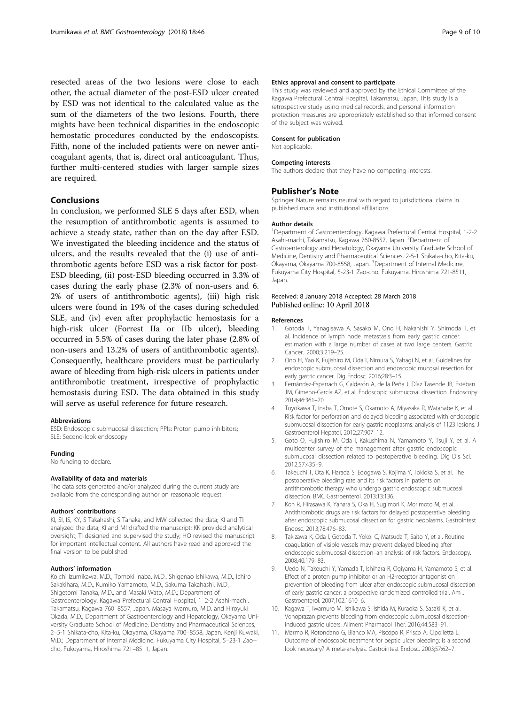<span id="page-8-0"></span>resected areas of the two lesions were close to each other, the actual diameter of the post-ESD ulcer created by ESD was not identical to the calculated value as the sum of the diameters of the two lesions. Fourth, there mights have been technical disparities in the endoscopic hemostatic procedures conducted by the endoscopists. Fifth, none of the included patients were on newer anticoagulant agents, that is, direct oral anticoagulant. Thus, further multi-centered studies with larger sample sizes are required.

## Conclusions

In conclusion, we performed SLE 5 days after ESD, when the resumption of antithrombotic agents is assumed to achieve a steady state, rather than on the day after ESD. We investigated the bleeding incidence and the status of ulcers, and the results revealed that the (i) use of antithrombotic agents before ESD was a risk factor for post-ESD bleeding, (ii) post-ESD bleeding occurred in 3.3% of cases during the early phase (2.3% of non-users and 6. 2% of users of antithrombotic agents), (iii) high risk ulcers were found in 19% of the cases during scheduled SLE, and (iv) even after prophylactic hemostasis for a high-risk ulcer (Forrest IIa or IIb ulcer), bleeding occurred in 5.5% of cases during the later phase (2.8% of non-users and 13.2% of users of antithrombotic agents). Consequently, healthcare providers must be particularly aware of bleeding from high-risk ulcers in patients under antithrombotic treatment, irrespective of prophylactic hemostasis during ESD. The data obtained in this study will serve as useful reference for future research.

## **Abbreviations**

ESD: Endoscopic submucosal dissection; PPIs: Proton pump inhibitors; SLE: Second-look endoscopy

## Funding

No funding to declare.

#### Availability of data and materials

The data sets generated and/or analyzed during the current study are available from the corresponding author on reasonable request.

#### Authors' contributions

KI, SI, IS, KY, S Takahashi, S Tanaka, and MW collected the data; KI and TI analyzed the data; KI and MI drafted the manuscript; KK provided analytical oversight; TI designed and supervised the study; HO revised the manuscript for important intellectual content. All authors have read and approved the final version to be published.

#### Authors' information

Koichi Izumikawa, M.D., Tomoki Inaba, M.D., Shigenao Ishikawa, M.D., Ichiro Sakakihara, M.D., Kumiko Yamamoto, M.D., Sakuma Takahashi, M.D., Shigetomi Tanaka, M.D., and Masaki Wato, M.D.; Department of Gastroenterology, Kagawa Prefectural Central Hospital, 1–2-2 Asahi-machi, Takamatsu, Kagawa 760–8557, Japan. Masaya Iwamuro, M.D. and Hiroyuki Okada, M.D.; Department of Gastroenterology and Hepatology, Okayama University Graduate School of Medicine, Dentistry and Pharmaceutical Sciences, 2–5-1 Shikata-cho, Kita-ku, Okayama, Okayama 700–8558, Japan. Kenji Kuwaki, M.D.; Department of Internal Medicine, Fukuyama City Hospital, 5–23-1 Zao- cho, Fukuyama, Hiroshima 721–8511, Japan.

## Ethics approval and consent to participate

This study was reviewed and approved by the Ethical Committee of the Kagawa Prefectural Central Hospital, Takamatsu, Japan. This study is a retrospective study using medical records, and personal information protection measures are appropriately established so that informed consent of the subject was waived.

### Consent for publication

Not applicable.

#### Competing interests

The authors declare that they have no competing interests.

#### Publisher's Note

Springer Nature remains neutral with regard to jurisdictional claims in published maps and institutional affiliations.

#### Author details

<sup>1</sup>Department of Gastroenterology, Kagawa Prefectural Central Hospital, 1-2-2 Asahi-machi, Takamatsu, Kagawa 760-8557, Japan. <sup>2</sup>Department of Gastroenterology and Hepatology, Okayama University Graduate School of Medicine, Dentistry and Pharmaceutical Sciences, 2-5-1 Shikata-cho, Kita-ku, Okayama, Okayama 700-8558, Japan. <sup>3</sup>Department of Internal Medicine, Fukuyama City Hospital, 5-23-1 Zao-cho, Fukuyama, Hiroshima 721-8511, Japan.

## Received: 8 January 2018 Accepted: 28 March 2018 Published online: 10 April 2018

#### References

- 1. Gotoda T, Yanagisawa A, Sasako M, Ono H, Nakanishi Y, Shimoda T, et al. Incidence of lymph node metastasis from early gastric cancer: estimation with a large number of cases at two large centers. Gastric Cancer. 2000;3:219–25.
- 2. Ono H, Yao K, Fujishiro M, Oda I, Nimura S, Yahagi N, et al. Guidelines for endoscopic submucosal dissection and endoscopic mucosal resection for early gastric cancer. Dig Endosc. 2016;28:3–15.
- 3. Fernández-Esparrach G, Calderón A, de la Peña J, Díaz Tasende JB, Esteban JM, Gimeno-García AZ, et al. Endoscopic submucosal dissection. Endoscopy. 2014;46:361–70.
- Toyokawa T, Inaba T, Omote S, Okamoto A, Miyasaka R, Watanabe K, et al. Risk factor for perforation and delayed bleeding associated with endoscopic submucosal dissection for early gastric neoplasms: analysis of 1123 lesions. J Gastroenterol Hepatol. 2012;27:907–12.
- 5. Goto O, Fujishiro M, Oda I, Kakushima N, Yamamoto Y, Tsuji Y, et al. A multicenter survey of the management after gastric endoscopic submucosal dissection related to postoperative bleeding. Dig Dis Sci. 2012;57:435–9.
- 6. Takeuchi T, Ota K, Harada S, Edogawa S, Kojima Y, Tokioka S, et al. The postoperative bleeding rate and its risk factors in patients on antithrombotic therapy who undergo gastric endoscopic submucosal dissection. BMC Gastroenterol. 2013;13:136.
- 7. Koh R, Hirasawa K, Yahara S, Oka H, Sugimori K, Morimoto M, et al. Antithrombotic drugs are risk factors for delayed postoperative bleeding after endoscopic submucosal dissection for gastric neoplasms. Gastrointest Endosc. 2013;78:476–83.
- 8. Takizawa K, Oda I, Gotoda T, Yokoi C, Matsuda T, Saito Y, et al. Routine coagulation of visible vessels may prevent delayed bleeding after endoscopic submucosal dissection–an analysis of risk factors. Endoscopy. 2008;40:179–83.
- 9. Uedo N, Takeuchi Y, Yamada T, Ishihara R, Ogiyama H, Yamamoto S, et al. Effect of a proton pump inhibitor or an H2-receptor antagonist on prevention of bleeding from ulcer after endoscopic submucosal dissection of early gastric cancer: a prospective randomized controlled trial. Am J Gastroenterol. 2007;102:1610–6.
- 10. Kagawa T, Iwamuro M, Ishikawa S, Ishida M, Kuraoka S, Sasaki K, et al. Vonoprazan prevents bleeding from endoscopic submucosal dissectioninduced gastric ulcers. Aliment Pharmacol Ther. 2016;44:583–91.
- 11. Marmo R, Rotondano G, Bianco MA, Piscopo R, Prisco A, Cipolletta L. Outcome of endoscopic treatment for peptic ulcer bleeding: is a second look necessary? A meta-analysis. Gastrointest Endosc. 2003;57:62–7.